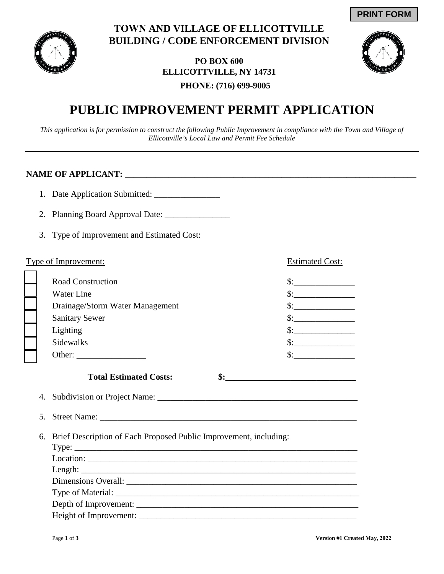

## **TOWN AND VILLAGE OF ELLICOTTVILLE BUILDING / CODE ENFORCEMENT DIVISION**

## **PO BOX 600 ELLICOTTVILLE, NY 14731 PHONE: (716) 699-9005**



# **PUBLIC IMPROVEMENT PERMIT APPLICATION**

*This application is for permission to construct the following Public Improvement in compliance with the Town and Village of Ellicottville's Local Law and Permit Fee Schedule*

### **NAME OF APPLICANT: \_\_\_\_\_\_\_\_\_\_\_\_\_\_\_\_\_\_\_\_\_\_\_\_\_\_\_\_\_\_\_\_\_\_\_\_\_\_\_\_\_\_\_\_\_\_\_\_\_\_\_\_\_\_\_\_\_\_\_\_\_\_\_\_\_\_\_**

- 1. Date Application Submitted:
- 2. Planning Board Approval Date: \_\_\_\_\_\_\_\_\_\_\_\_\_\_\_
- 3. Type of Improvement and Estimated Cost:

#### Type of Improvement: Estimated Cost:

| <b>Road Construction</b>        |  |
|---------------------------------|--|
| Water Line                      |  |
| Drainage/Storm Water Management |  |
| <b>Sanitary Sewer</b>           |  |
| Lighting                        |  |
| Sidewalks                       |  |
| Other:                          |  |

#### Total Estimated Costs:  $\qquad \qquad$  \$:

- 4. Subdivision or Project Name: \_\_\_\_\_\_\_\_\_\_\_\_\_\_\_\_\_\_\_\_\_\_\_\_\_\_\_\_\_\_\_\_\_\_\_\_\_\_\_\_\_\_\_\_\_\_
- 5. Street Name: \_\_\_\_\_\_\_\_\_\_\_\_\_\_\_\_\_\_\_\_\_\_\_\_\_\_\_\_\_\_\_\_\_\_\_\_\_\_\_\_\_\_\_\_\_\_\_\_\_\_\_\_\_\_\_\_\_\_\_
- 6. Brief Description of Each Proposed Public Improvement, including:

| Type:                                                                                                                                                                                                                                                                                                                                                                                                                                                                                                                                                                |
|----------------------------------------------------------------------------------------------------------------------------------------------------------------------------------------------------------------------------------------------------------------------------------------------------------------------------------------------------------------------------------------------------------------------------------------------------------------------------------------------------------------------------------------------------------------------|
| $\text{Location:}\n \underline{\hspace{2cm}}\n \underline{\hspace{2cm}}\n \underline{\hspace{2cm}}\n \underline{\hspace{2cm}}\n \underline{\hspace{2cm}}\n \underline{\hspace{2cm}}\n \underline{\hspace{2cm}}\n \underline{\hspace{2cm}}\n \underline{\hspace{2cm}}\n \underline{\hspace{2cm}}\n \underline{\hspace{2cm}}\n \underline{\hspace{2cm}}\n \underline{\hspace{2cm}}\n \underline{\hspace{2cm}}\n \underline{\hspace{2cm}}\n \underline{\hspace{2cm}}\n \underline{\hspace{2cm}}\n \underline{\hspace{2cm}}\n \underline{\hspace{2cm}}\n \underline{\hs$ |
|                                                                                                                                                                                                                                                                                                                                                                                                                                                                                                                                                                      |
|                                                                                                                                                                                                                                                                                                                                                                                                                                                                                                                                                                      |
|                                                                                                                                                                                                                                                                                                                                                                                                                                                                                                                                                                      |
|                                                                                                                                                                                                                                                                                                                                                                                                                                                                                                                                                                      |
|                                                                                                                                                                                                                                                                                                                                                                                                                                                                                                                                                                      |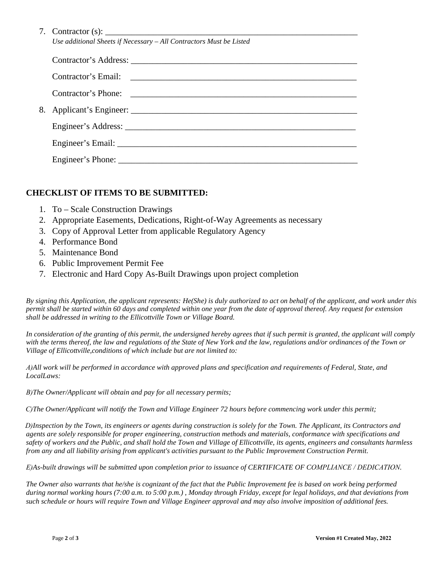| 7. Contractor $(s)$ :                                               |
|---------------------------------------------------------------------|
| Use additional Sheets if Necessary - All Contractors Must be Listed |

| Engineer's Phone: |
|-------------------|

#### **CHECKLIST OF ITEMS TO BE SUBMITTED:**

- 1. To Scale Construction Drawings
- 2. Appropriate Easements, Dedications, Right-of-Way Agreements as necessary
- 3. Copy of Approval Letter from applicable Regulatory Agency
- 4. Performance Bond
- 5. Maintenance Bond
- 6. Public Improvement Permit Fee
- 7. Electronic and Hard Copy As-Built Drawings upon project completion

*By signing this Application, the applicant represents: He(She) is duly authorized to act on behalf of the applicant, and work under this permit shall be started within 60 days and completed within one year from the date of approval thereof. Any request for extension shall be addressed in writing to the Ellicottville Town or Village Board.*

*In consideration of the granting of this permit, the undersigned hereby agrees that if such permit is granted, the applicant will comply with the terms thereof, the law and regulations of the State of New York and the law, regulations and/or ordinances of the Town or Village of Ellicottville,conditions of which include but are not limited to:*

*A)All work will be performed in accordance with approved plans and specification and requirements of Federal, State, and LocalLaws:*

*B)The Owner/Applicant will obtain and pay for all necessary permits;*

*C)The Owner/Applicant will notify the Town and Village Engineer 72 hours before commencing work under this permit;*

*D)Inspection by the Town, its engineers or agents during construction is solely for the Town. The Applicant, its Contractors and agents are solely responsible for proper engineering, construction methods and materials, conformance with specifications and safety of workers and the Public, and shall hold the Town and Village of Ellicottville, its agents, engineers and consultants harmless from any and all liability arising from applicant's activities pursuant to the Public Improvement Construction Permit.*

*E)As-built drawings will be submitted upon completion prior to issuance of CERTIFICATE OF COMPLIANCE / DEDICATION.*

*The Owner also warrants that he/she is cognizant of the fact that the Public Improvement fee is based on work being performed during normal working hours (7:00 a.m. to 5:00 p.m.) , Monday through Friday, except for legal holidays, and that deviations from such schedule or hours will require Town and Village Engineer approval and may also involve imposition of additional fees.*